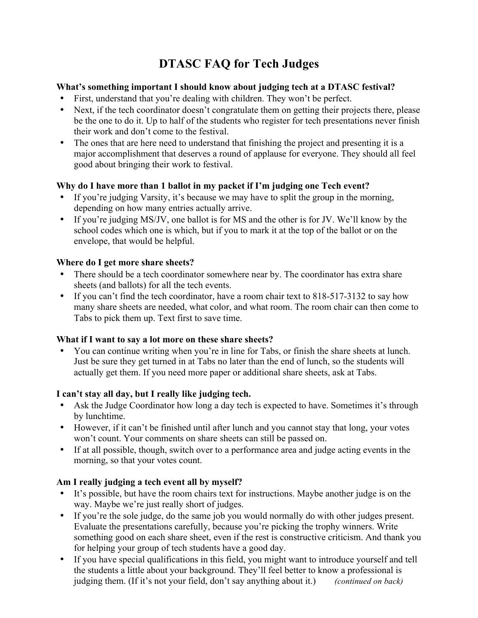# **DTASC FAQ for Tech Judges**

#### **What's something important I should know about judging tech at a DTASC festival?**

- First, understand that you're dealing with children. They won't be perfect.
- Next, if the tech coordinator doesn't congratulate them on getting their projects there, please be the one to do it. Up to half of the students who register for tech presentations never finish their work and don't come to the festival.
- The ones that are here need to understand that finishing the project and presenting it is a major accomplishment that deserves a round of applause for everyone. They should all feel good about bringing their work to festival.

## **Why do I have more than 1 ballot in my packet if I'm judging one Tech event?**

- If you're judging Varsity, it's because we may have to split the group in the morning, depending on how many entries actually arrive.
- If you're judging MS/JV, one ballot is for MS and the other is for JV. We'll know by the school codes which one is which, but if you to mark it at the top of the ballot or on the envelope, that would be helpful.

## **Where do I get more share sheets?**

- There should be a tech coordinator somewhere near by. The coordinator has extra share sheets (and ballots) for all the tech events.
- If you can't find the tech coordinator, have a room chair text to 818-517-3132 to say how many share sheets are needed, what color, and what room. The room chair can then come to Tabs to pick them up. Text first to save time.

#### **What if I want to say a lot more on these share sheets?**

• You can continue writing when you're in line for Tabs, or finish the share sheets at lunch. Just be sure they get turned in at Tabs no later than the end of lunch, so the students will actually get them. If you need more paper or additional share sheets, ask at Tabs.

#### **I can't stay all day, but I really like judging tech.**

- Ask the Judge Coordinator how long a day tech is expected to have. Sometimes it's through by lunchtime.
- However, if it can't be finished until after lunch and you cannot stay that long, your votes won't count. Your comments on share sheets can still be passed on.
- If at all possible, though, switch over to a performance area and judge acting events in the morning, so that your votes count.

## **Am I really judging a tech event all by myself?**

- It's possible, but have the room chairs text for instructions. Maybe another judge is on the way. Maybe we're just really short of judges.
- If you're the sole judge, do the same job you would normally do with other judges present. Evaluate the presentations carefully, because you're picking the trophy winners. Write something good on each share sheet, even if the rest is constructive criticism. And thank you for helping your group of tech students have a good day.
- If you have special qualifications in this field, you might want to introduce yourself and tell the students a little about your background. They'll feel better to know a professional is judging them. (If it's not your field, don't say anything about it.) *(continued on back)*